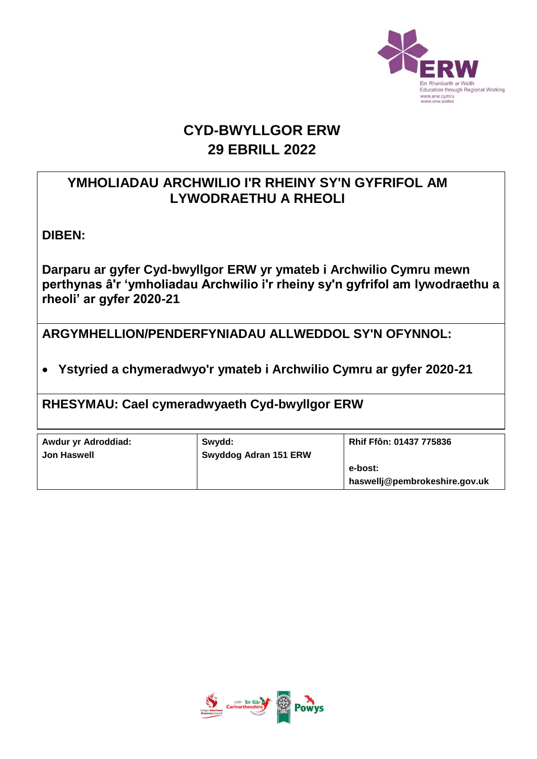

## **CYD-BWYLLGOR ERW 29 EBRILL 2022**

### **YMHOLIADAU ARCHWILIO I'R RHEINY SY'N GYFRIFOL AM LYWODRAETHU A RHEOLI**

**DIBEN:** 

**Darparu ar gyfer Cyd-bwyllgor ERW yr ymateb i Archwilio Cymru mewn perthynas â'r 'ymholiadau Archwilio i'r rheiny sy'n gyfrifol am lywodraethu a rheoli' ar gyfer 2020-21**

**ARGYMHELLION/PENDERFYNIADAU ALLWEDDOL SY'N OFYNNOL:**

**Ystyried a chymeradwyo'r ymateb i Archwilio Cymru ar gyfer 2020-21**

**RHESYMAU: Cael cymeradwyaeth Cyd-bwyllgor ERW**

| Awdur yr Adroddiad: | Swydd:                |                                          |
|---------------------|-----------------------|------------------------------------------|
| <b>Jon Haswell</b>  | Swyddog Adran 151 ERW |                                          |
|                     |                       | e-bost:<br>haswellj@pembrokeshire.gov.uk |